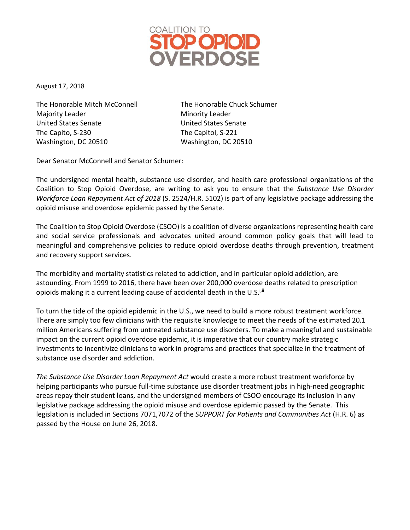

August 17, 2018

The Honorable Mitch McConnell The Honorable Chuck Schumer Majority Leader **Minority Leader** Minority Leader United States Senate United States Senate The Capito, S-230 The Capitol, S-221 Washington, DC 20510 Washington, DC 20510

Dear Senator McConnell and Senator Schumer:

The undersigned mental health, substance use disorder, and health care professional organizations of the Coalition to Stop Opioid Overdose, are writing to ask you to ensure that the *Substance Use Disorder Workforce Loan Repayment Act of 2018* (S. 2524/H.R. 5102) is part of any legislative package addressing the opioid misuse and overdose epidemic passed by the Senate.

The Coalition to Stop Opioid Overdose (CSOO) is a coalition of diverse organizations representing health care and social service professionals and advocates united around common policy goals that will lead to meaningful and comprehensive policies to reduce opioid overdose deaths through prevention, treatment and recovery support services.

The morbidity and mortality statistics related to addiction, and in particular opioid addiction, are astounding. From 1999 to 2016, there have been over 200,000 overdose deaths related to prescription opioids making it a current leading cause of accidental death in the U.S.<sup>i,ii</sup>

To turn the tide of the opioid epidemic in the U.S., we need to build a more robust treatment workforce. There are simply too few clinicians with the requisite knowledge to meet the needs of the estimated 20.1 million Americans suffering from untreated substance use disorders. To make a meaningful and sustainable impact on the current opioid overdose epidemic, it is imperative that our country make strategic investments to incentivize clinicians to work in programs and practices that specialize in the treatment of substance use disorder and addiction.

*The Substance Use Disorder Loan Repayment Act* would create a more robust treatment workforce by helping participants who pursue full-time substance use disorder treatment jobs in high-need geographic areas repay their student loans, and the undersigned members of CSOO encourage its inclusion in any legislative package addressing the opioid misuse and overdose epidemic passed by the Senate. This legislation is included in Sections 7071,7072 of the *SUPPORT for Patients and Communities Act* (H.R. 6) as passed by the House on June 26, 2018.